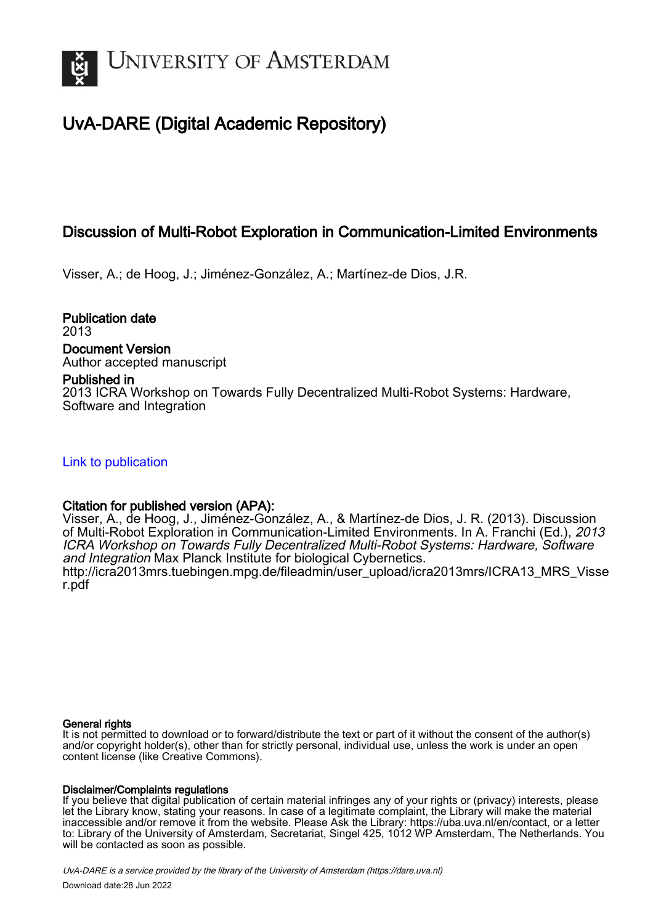

# UvA-DARE (Digital Academic Repository)

# Discussion of Multi-Robot Exploration in Communication-Limited Environments

Visser, A.; de Hoog, J.; Jiménez-González, A.; Martínez-de Dios, J.R.

Publication date 2013 Document Version Author accepted manuscript

# Published in

2013 ICRA Workshop on Towards Fully Decentralized Multi-Robot Systems: Hardware, Software and Integration

[Link to publication](https://dare.uva.nl/personal/pure/en/publications/discussion-of-multirobot-exploration-in-communicationlimited-environments(dff24be2-49af-4c6b-bdde-ecb4e8192478).html)

# Citation for published version (APA):

Visser, A., de Hoog, J., Jiménez-González, A., & Martínez-de Dios, J. R. (2013). Discussion of Multi-Robot Exploration in Communication-Limited Environments. In A. Franchi (Ed.), 2013 ICRA Workshop on Towards Fully Decentralized Multi-Robot Systems: Hardware, Software and Integration Max Planck Institute for biological Cybernetics. [http://icra2013mrs.tuebingen.mpg.de/fileadmin/user\\_upload/icra2013mrs/ICRA13\\_MRS\\_Visse](http://icra2013mrs.tuebingen.mpg.de/fileadmin/user_upload/icra2013mrs/ICRA13_MRS_Visser.pdf) [r.pdf](http://icra2013mrs.tuebingen.mpg.de/fileadmin/user_upload/icra2013mrs/ICRA13_MRS_Visser.pdf)

## General rights

It is not permitted to download or to forward/distribute the text or part of it without the consent of the author(s) and/or copyright holder(s), other than for strictly personal, individual use, unless the work is under an open content license (like Creative Commons).

## Disclaimer/Complaints regulations

If you believe that digital publication of certain material infringes any of your rights or (privacy) interests, please let the Library know, stating your reasons. In case of a legitimate complaint, the Library will make the material inaccessible and/or remove it from the website. Please Ask the Library: https://uba.uva.nl/en/contact, or a letter to: Library of the University of Amsterdam, Secretariat, Singel 425, 1012 WP Amsterdam, The Netherlands. You will be contacted as soon as possible.

UvA-DARE is a service provided by the library of the University of Amsterdam (http*s*://dare.uva.nl) Download date:28 Jun 2022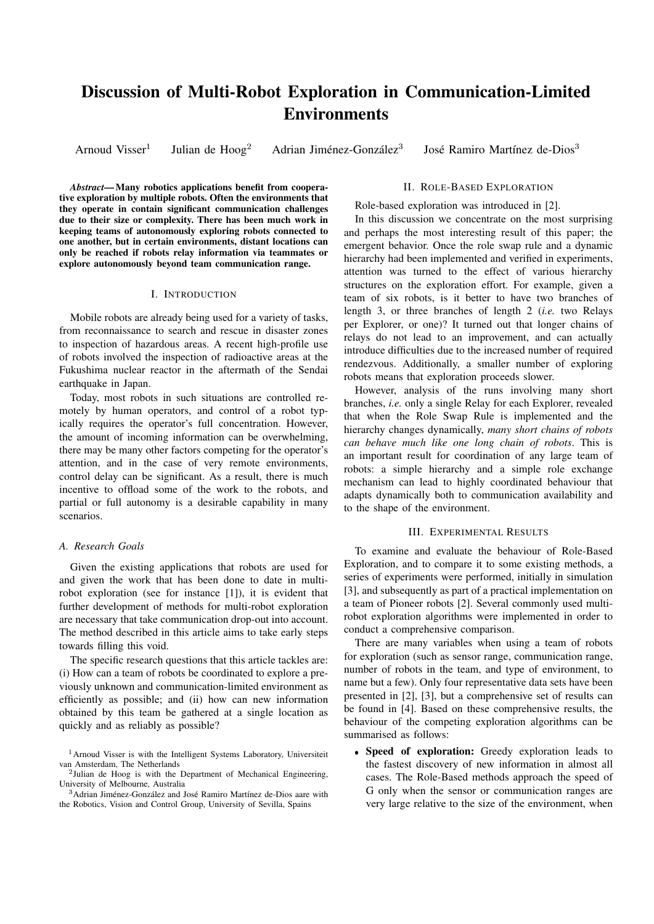# Discussion of Multi-Robot Exploration in Communication-Limited Environments

Arnoud Visser<sup>1</sup>

Julian de  $Hoog^2$  Adrian Jiménez-González<sup>3</sup>

José Ramiro Martínez de-Dios<sup>3</sup>

*Abstract*— Many robotics applications benefit from cooperative exploration by multiple robots. Often the environments that they operate in contain significant communication challenges due to their size or complexity. There has been much work in keeping teams of autonomously exploring robots connected to one another, but in certain environments, distant locations can only be reached if robots relay information via teammates or explore autonomously beyond team communication range.

#### I. INTRODUCTION

Mobile robots are already being used for a variety of tasks, from reconnaissance to search and rescue in disaster zones to inspection of hazardous areas. A recent high-profile use of robots involved the inspection of radioactive areas at the Fukushima nuclear reactor in the aftermath of the Sendai earthquake in Japan.

Today, most robots in such situations are controlled remotely by human operators, and control of a robot typically requires the operator's full concentration. However, the amount of incoming information can be overwhelming, there may be many other factors competing for the operator's attention, and in the case of very remote environments, control delay can be significant. As a result, there is much incentive to offload some of the work to the robots, and partial or full autonomy is a desirable capability in many scenarios.

## *A. Research Goals*

Given the existing applications that robots are used for and given the work that has been done to date in multirobot exploration (see for instance [1]), it is evident that further development of methods for multi-robot exploration are necessary that take communication drop-out into account. The method described in this article aims to take early steps towards filling this void.

The specific research questions that this article tackles are: (i) How can a team of robots be coordinated to explore a previously unknown and communication-limited environment as efficiently as possible; and (ii) how can new information obtained by this team be gathered at a single location as quickly and as reliably as possible?

#### II. ROLE-BASED EXPLORATION

<span id="page-1-0"></span>Role-based exploration was introduced in [2].

In this discussion we concentrate on the most surprising and perhaps the most interesting result of this paper; the emergent behavior. Once the role swap rule and a dynamic hierarchy had been implemented and verified in experiments, attention was turned to the effect of various hierarchy structures on the exploration effort. For example, given a team of six robots, is it better to have two branches of length 3, or three branches of length 2 (*i.e.* two Relays per Explorer, or one)? It turned out that longer chains of relays do not lead to an improvement, and can actually introduce difficulties due to the increased number of required rendezvous. Additionally, a smaller number of exploring robots means that exploration proceeds slower.

However, analysis of the runs involving many short branches, *i.e.* only a single Relay for each Explorer, revealed that when the Role Swap Rule is implemented and the hierarchy changes dynamically, *many short chains of robots can behave much like one long chain of robots*. This is an important result for coordination of any large team of robots: a simple hierarchy and a simple role exchange mechanism can lead to highly coordinated behaviour that adapts dynamically both to communication availability and to the shape of the environment.

#### III. EXPERIMENTAL RESULTS

To examine and evaluate the behaviour of Role-Based Exploration, and to compare it to some existing methods, a series of experiments were performed, initially in simulation [3], and subsequently as part of a practical implementation on a team of Pioneer robots [2]. Several commonly used multirobot exploration algorithms were implemented in order to conduct a comprehensive comparison.

There are many variables when using a team of robots for exploration (such as sensor range, communication range, number of robots in the team, and type of environment, to name but a few). Only four representative data sets have been presented in [2], [3], but a comprehensive set of results can be found in [4]. Based on these comprehensive results, the behaviour of the competing exploration algorithms can be summarised as follows:

 Speed of exploration: Greedy exploration leads to the fastest discovery of new information in almost all cases. The Role-Based methods approach the speed of G only when the sensor or communication ranges are very large relative to the size of the environment, when

<sup>1</sup>Arnoud Visser is with the Intelligent Systems Laboratory, Universiteit van Amsterdam, The Netherlands

<sup>2</sup> Julian de Hoog is with the Department of Mechanical Engineering, University of Melbourne, Australia

<sup>&</sup>lt;sup>3</sup> Adrian Jiménez-González and José Ramiro Martínez de-Dios aare with the Robotics, Vision and Control Group, University of Sevilla, Spains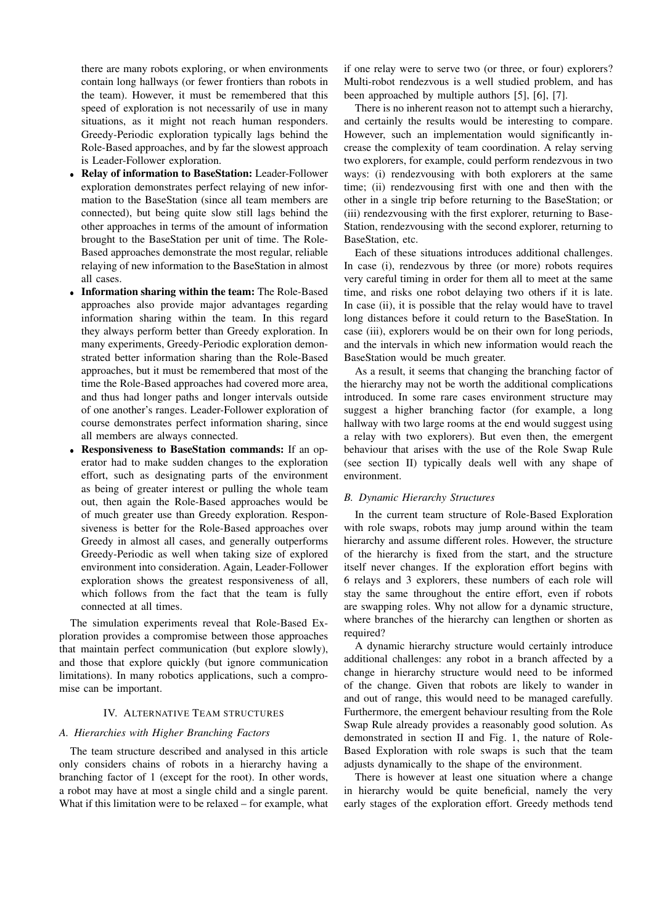there are many robots exploring, or when environments contain long hallways (or fewer frontiers than robots in the team). However, it must be remembered that this speed of exploration is not necessarily of use in many situations, as it might not reach human responders. Greedy-Periodic exploration typically lags behind the Role-Based approaches, and by far the slowest approach is Leader-Follower exploration.

- Relay of information to BaseStation: Leader-Follower exploration demonstrates perfect relaying of new information to the BaseStation (since all team members are connected), but being quite slow still lags behind the other approaches in terms of the amount of information brought to the BaseStation per unit of time. The Role-Based approaches demonstrate the most regular, reliable relaying of new information to the BaseStation in almost all cases.
- Information sharing within the team: The Role-Based approaches also provide major advantages regarding information sharing within the team. In this regard they always perform better than Greedy exploration. In many experiments, Greedy-Periodic exploration demonstrated better information sharing than the Role-Based approaches, but it must be remembered that most of the time the Role-Based approaches had covered more area, and thus had longer paths and longer intervals outside of one another's ranges. Leader-Follower exploration of course demonstrates perfect information sharing, since all members are always connected.
- Responsiveness to BaseStation commands: If an operator had to make sudden changes to the exploration effort, such as designating parts of the environment as being of greater interest or pulling the whole team out, then again the Role-Based approaches would be of much greater use than Greedy exploration. Responsiveness is better for the Role-Based approaches over Greedy in almost all cases, and generally outperforms Greedy-Periodic as well when taking size of explored environment into consideration. Again, Leader-Follower exploration shows the greatest responsiveness of all, which follows from the fact that the team is fully connected at all times.

The simulation experiments reveal that Role-Based Exploration provides a compromise between those approaches that maintain perfect communication (but explore slowly), and those that explore quickly (but ignore communication limitations). In many robotics applications, such a compromise can be important.

## IV. ALTERNATIVE TEAM STRUCTURES

#### *A. Hierarchies with Higher Branching Factors*

The team structure described and analysed in this article only considers chains of robots in a hierarchy having a branching factor of 1 (except for the root). In other words, a robot may have at most a single child and a single parent. What if this limitation were to be relaxed – for example, what if one relay were to serve two (or three, or four) explorers? Multi-robot rendezvous is a well studied problem, and has been approached by multiple authors [5], [6], [7].

There is no inherent reason not to attempt such a hierarchy, and certainly the results would be interesting to compare. However, such an implementation would significantly increase the complexity of team coordination. A relay serving two explorers, for example, could perform rendezvous in two ways: (i) rendezvousing with both explorers at the same time; (ii) rendezvousing first with one and then with the other in a single trip before returning to the BaseStation; or (iii) rendezvousing with the first explorer, returning to Base-Station, rendezvousing with the second explorer, returning to BaseStation, etc.

Each of these situations introduces additional challenges. In case (i), rendezvous by three (or more) robots requires very careful timing in order for them all to meet at the same time, and risks one robot delaying two others if it is late. In case (ii), it is possible that the relay would have to travel long distances before it could return to the BaseStation. In case (iii), explorers would be on their own for long periods, and the intervals in which new information would reach the BaseStation would be much greater.

As a result, it seems that changing the branching factor of the hierarchy may not be worth the additional complications introduced. In some rare cases environment structure may suggest a higher branching factor (for example, a long hallway with two large rooms at the end would suggest using a relay with two explorers). But even then, the emergent behaviour that arises with the use of the Role Swap Rule (see section [II\)](#page-1-0) typically deals well with any shape of environment.

#### *B. Dynamic Hierarchy Structures*

In the current team structure of Role-Based Exploration with role swaps, robots may jump around within the team hierarchy and assume different roles. However, the structure of the hierarchy is fixed from the start, and the structure itself never changes. If the exploration effort begins with 6 relays and 3 explorers, these numbers of each role will stay the same throughout the entire effort, even if robots are swapping roles. Why not allow for a dynamic structure, where branches of the hierarchy can lengthen or shorten as required?

A dynamic hierarchy structure would certainly introduce additional challenges: any robot in a branch affected by a change in hierarchy structure would need to be informed of the change. Given that robots are likely to wander in and out of range, this would need to be managed carefully. Furthermore, the emergent behaviour resulting from the Role Swap Rule already provides a reasonably good solution. As demonstrated in section [II](#page-1-0) and Fig. [1,](#page-3-0) the nature of Role-Based Exploration with role swaps is such that the team adjusts dynamically to the shape of the environment.

There is however at least one situation where a change in hierarchy would be quite beneficial, namely the very early stages of the exploration effort. Greedy methods tend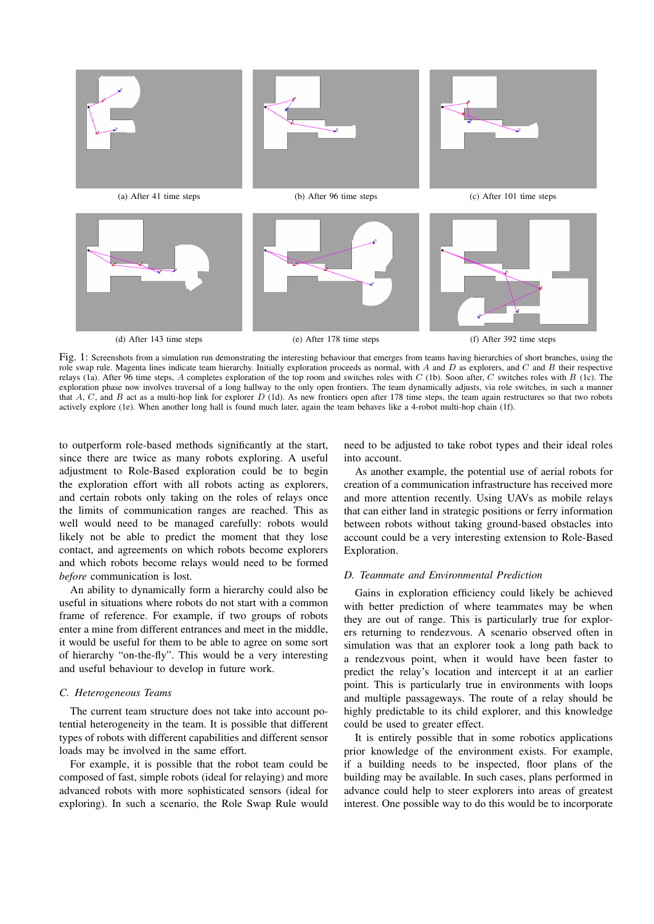<span id="page-3-4"></span><span id="page-3-2"></span><span id="page-3-1"></span><span id="page-3-0"></span>

Fig. 1: Screenshots from a simulation run demonstrating the interesting behaviour that emerges from teams having hierarchies of short branches, using the role swap rule. Magenta lines indicate team hierarchy. Initially exploration proceeds as normal, with  $A$  and  $D$  as explorers, and  $C$  and  $B$  their respective relays [\(1a\)](#page-3-1). After 96 time steps, A completes exploration of the top room and switches roles with  $C$  [\(1b\)](#page-3-2). Soon after,  $C$  switches roles with  $B$  [\(1c\)](#page-3-3). The exploration phase now involves traversal of a long hallway to the only open frontiers. The team dynamically adjusts, via role switches, in such a manner that A, C, and B act as a multi-hop link for explorer D [\(1d\)](#page-3-4). As new frontiers open after 178 time steps, the team again restructures so that two robots actively explore [\(1e\)](#page-3-5). When another long hall is found much later, again the team behaves like a 4-robot multi-hop chain [\(1f\)](#page-3-6).

to outperform role-based methods significantly at the start, since there are twice as many robots exploring. A useful adjustment to Role-Based exploration could be to begin the exploration effort with all robots acting as explorers, and certain robots only taking on the roles of relays once the limits of communication ranges are reached. This as well would need to be managed carefully: robots would likely not be able to predict the moment that they lose contact, and agreements on which robots become explorers and which robots become relays would need to be formed *before* communication is lost.

An ability to dynamically form a hierarchy could also be useful in situations where robots do not start with a common frame of reference. For example, if two groups of robots enter a mine from different entrances and meet in the middle, it would be useful for them to be able to agree on some sort of hierarchy "on-the-fly". This would be a very interesting and useful behaviour to develop in future work.

#### *C. Heterogeneous Teams*

The current team structure does not take into account potential heterogeneity in the team. It is possible that different types of robots with different capabilities and different sensor loads may be involved in the same effort.

For example, it is possible that the robot team could be composed of fast, simple robots (ideal for relaying) and more advanced robots with more sophisticated sensors (ideal for exploring). In such a scenario, the Role Swap Rule would <span id="page-3-6"></span><span id="page-3-5"></span><span id="page-3-3"></span>need to be adjusted to take robot types and their ideal roles into account.

As another example, the potential use of aerial robots for creation of a communication infrastructure has received more and more attention recently. Using UAVs as mobile relays that can either land in strategic positions or ferry information between robots without taking ground-based obstacles into account could be a very interesting extension to Role-Based Exploration.

#### *D. Teammate and Environmental Prediction*

Gains in exploration efficiency could likely be achieved with better prediction of where teammates may be when they are out of range. This is particularly true for explorers returning to rendezvous. A scenario observed often in simulation was that an explorer took a long path back to a rendezvous point, when it would have been faster to predict the relay's location and intercept it at an earlier point. This is particularly true in environments with loops and multiple passageways. The route of a relay should be highly predictable to its child explorer, and this knowledge could be used to greater effect.

It is entirely possible that in some robotics applications prior knowledge of the environment exists. For example, if a building needs to be inspected, floor plans of the building may be available. In such cases, plans performed in advance could help to steer explorers into areas of greatest interest. One possible way to do this would be to incorporate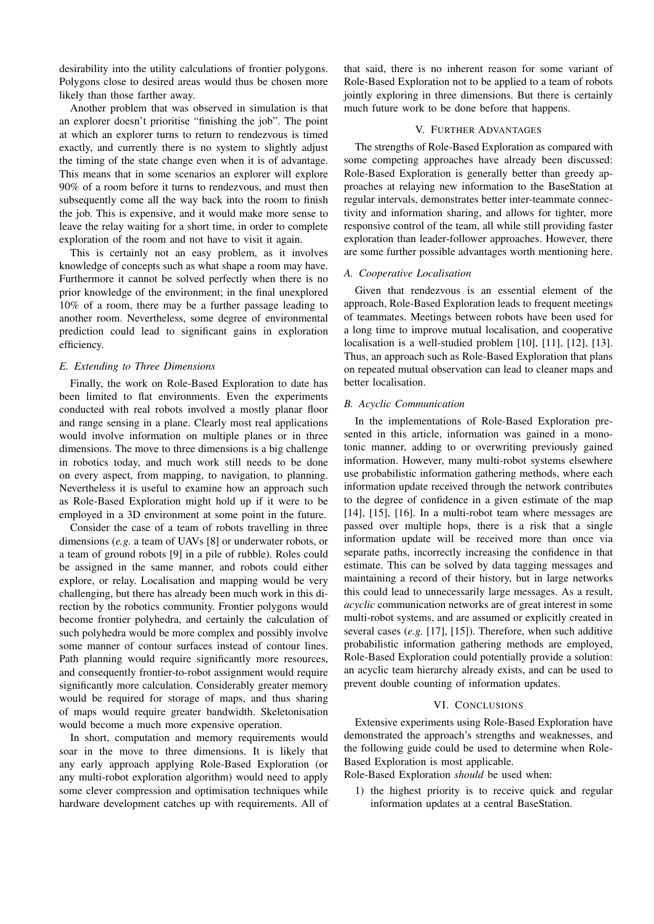desirability into the utility calculations of frontier polygons. Polygons close to desired areas would thus be chosen more likely than those farther away.

Another problem that was observed in simulation is that an explorer doesn't prioritise "finishing the job". The point at which an explorer turns to return to rendezvous is timed exactly, and currently there is no system to slightly adjust the timing of the state change even when it is of advantage. This means that in some scenarios an explorer will explore 90% of a room before it turns to rendezvous, and must then subsequently come all the way back into the room to finish the job. This is expensive, and it would make more sense to leave the relay waiting for a short time, in order to complete exploration of the room and not have to visit it again.

This is certainly not an easy problem, as it involves knowledge of concepts such as what shape a room may have. Furthermore it cannot be solved perfectly when there is no prior knowledge of the environment; in the final unexplored 10% of a room, there may be a further passage leading to another room. Nevertheless, some degree of environmental prediction could lead to significant gains in exploration efficiency.

## *E. Extending to Three Dimensions*

Finally, the work on Role-Based Exploration to date has been limited to flat environments. Even the experiments conducted with real robots involved a mostly planar floor and range sensing in a plane. Clearly most real applications would involve information on multiple planes or in three dimensions. The move to three dimensions is a big challenge in robotics today, and much work still needs to be done on every aspect, from mapping, to navigation, to planning. Nevertheless it is useful to examine how an approach such as Role-Based Exploration might hold up if it were to be employed in a 3D environment at some point in the future.

Consider the case of a team of robots travelling in three dimensions (*e.g.* a team of UAVs [8] or underwater robots, or a team of ground robots [9] in a pile of rubble). Roles could be assigned in the same manner, and robots could either explore, or relay. Localisation and mapping would be very challenging, but there has already been much work in this direction by the robotics community. Frontier polygons would become frontier polyhedra, and certainly the calculation of such polyhedra would be more complex and possibly involve some manner of contour surfaces instead of contour lines. Path planning would require significantly more resources, and consequently frontier-to-robot assignment would require significantly more calculation. Considerably greater memory would be required for storage of maps, and thus sharing of maps would require greater bandwidth. Skeletonisation would become a much more expensive operation.

In short, computation and memory requirements would soar in the move to three dimensions. It is likely that any early approach applying Role-Based Exploration (or any multi-robot exploration algorithm) would need to apply some clever compression and optimisation techniques while hardware development catches up with requirements. All of

that said, there is no inherent reason for some variant of Role-Based Exploration not to be applied to a team of robots jointly exploring in three dimensions. But there is certainly much future work to be done before that happens.

### V. FURTHER ADVANTAGES

The strengths of Role-Based Exploration as compared with some competing approaches have already been discussed: Role-Based Exploration is generally better than greedy approaches at relaying new information to the BaseStation at regular intervals, demonstrates better inter-teammate connectivity and information sharing, and allows for tighter, more responsive control of the team, all while still providing faster exploration than leader-follower approaches. However, there are some further possible advantages worth mentioning here.

### *A. Cooperative Localisation*

Given that rendezvous is an essential element of the approach, Role-Based Exploration leads to frequent meetings of teammates. Meetings between robots have been used for a long time to improve mutual localisation, and cooperative localisation is a well-studied problem [10], [11], [12], [13]. Thus, an approach such as Role-Based Exploration that plans on repeated mutual observation can lead to cleaner maps and better localisation.

#### *B. Acyclic Communication*

In the implementations of Role-Based Exploration presented in this article, information was gained in a monotonic manner, adding to or overwriting previously gained information. However, many multi-robot systems elsewhere use probabilistic information gathering methods, where each information update received through the network contributes to the degree of confidence in a given estimate of the map [14], [15], [16]. In a multi-robot team where messages are passed over multiple hops, there is a risk that a single information update will be received more than once via separate paths, incorrectly increasing the confidence in that estimate. This can be solved by data tagging messages and maintaining a record of their history, but in large networks this could lead to unnecessarily large messages. As a result, *acyclic* communication networks are of great interest in some multi-robot systems, and are assumed or explicitly created in several cases (*e.g.* [17], [15]). Therefore, when such additive probabilistic information gathering methods are employed, Role-Based Exploration could potentially provide a solution: an acyclic team hierarchy already exists, and can be used to prevent double counting of information updates.

#### VI. CONCLUSIONS

Extensive experiments using Role-Based Exploration have demonstrated the approach's strengths and weaknesses, and the following guide could be used to determine when Role-Based Exploration is most applicable.

Role-Based Exploration *should* be used when:

1) the highest priority is to receive quick and regular information updates at a central BaseStation.